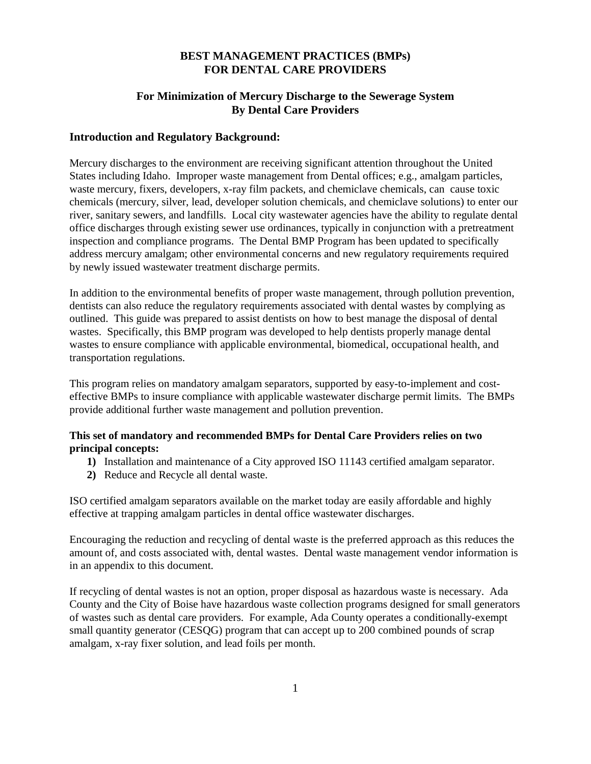## **BEST MANAGEMENT PRACTICES (BMPs) FOR DENTAL CARE PROVIDERS**

# **For Minimization of Mercury Discharge to the Sewerage System By Dental Care Providers**

#### **Introduction and Regulatory Background:**

Mercury discharges to the environment are receiving significant attention throughout the United States including Idaho. Improper waste management from Dental offices; e.g., amalgam particles, waste mercury, fixers, developers, x-ray film packets, and chemiclave chemicals, can cause toxic chemicals (mercury, silver, lead, developer solution chemicals, and chemiclave solutions) to enter our river, sanitary sewers, and landfills. Local city wastewater agencies have the ability to regulate dental office discharges through existing sewer use ordinances, typically in conjunction with a pretreatment inspection and compliance programs. The Dental BMP Program has been updated to specifically address mercury amalgam; other environmental concerns and new regulatory requirements required by newly issued wastewater treatment discharge permits.

In addition to the environmental benefits of proper waste management, through pollution prevention, dentists can also reduce the regulatory requirements associated with dental wastes by complying as outlined. This guide was prepared to assist dentists on how to best manage the disposal of dental wastes. Specifically, this BMP program was developed to help dentists properly manage dental wastes to ensure compliance with applicable environmental, biomedical, occupational health, and transportation regulations.

This program relies on mandatory amalgam separators, supported by easy-to-implement and costeffective BMPs to insure compliance with applicable wastewater discharge permit limits. The BMPs provide additional further waste management and pollution prevention.

## **This set of mandatory and recommended BMPs for Dental Care Providers relies on two principal concepts:**

- **1)** Installation and maintenance of a City approved ISO 11143 certified amalgam separator.
- **2)** Reduce and Recycle all dental waste.

ISO certified amalgam separators available on the market today are easily affordable and highly effective at trapping amalgam particles in dental office wastewater discharges.

Encouraging the reduction and recycling of dental waste is the preferred approach as this reduces the amount of, and costs associated with, dental wastes. Dental waste management vendor information is in an appendix to this document.

If recycling of dental wastes is not an option, proper disposal as hazardous waste is necessary. Ada County and the City of Boise have hazardous waste collection programs designed for small generators of wastes such as dental care providers. For example, Ada County operates a conditionally-exempt small quantity generator (CESQG) program that can accept up to 200 combined pounds of scrap amalgam, x-ray fixer solution, and lead foils per month.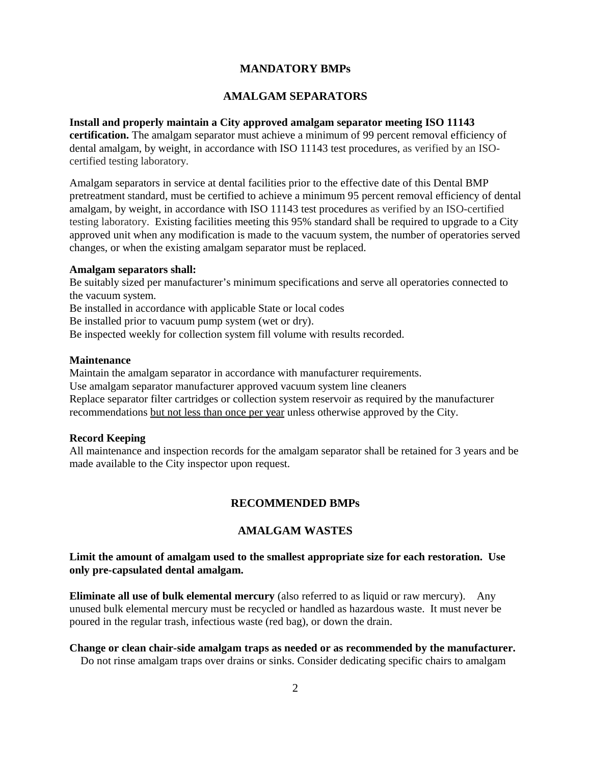## **MANDATORY BMPs**

# **AMALGAM SEPARATORS**

#### **Install and properly maintain a City approved amalgam separator meeting ISO 11143**

**certification.** The amalgam separator must achieve a minimum of 99 percent removal efficiency of dental amalgam, by weight, in accordance with ISO 11143 test procedures, as verified by an ISOcertified testing laboratory.

Amalgam separators in service at dental facilities prior to the effective date of this Dental BMP pretreatment standard, must be certified to achieve a minimum 95 percent removal efficiency of dental amalgam, by weight, in accordance with ISO 11143 test procedures as verified by an ISO-certified testing laboratory. Existing facilities meeting this 95% standard shall be required to upgrade to a City approved unit when any modification is made to the vacuum system, the number of operatories served changes, or when the existing amalgam separator must be replaced.

#### **Amalgam separators shall:**

Be suitably sized per manufacturer's minimum specifications and serve all operatories connected to the vacuum system.

Be installed in accordance with applicable State or local codes

Be installed prior to vacuum pump system (wet or dry).

Be inspected weekly for collection system fill volume with results recorded.

#### **Maintenance**

Maintain the amalgam separator in accordance with manufacturer requirements. Use amalgam separator manufacturer approved vacuum system line cleaners Replace separator filter cartridges or collection system reservoir as required by the manufacturer recommendations but not less than once per year unless otherwise approved by the City.

#### **Record Keeping**

All maintenance and inspection records for the amalgam separator shall be retained for 3 years and be made available to the City inspector upon request.

#### **RECOMMENDED BMPs**

# **AMALGAM WASTES**

## **Limit the amount of amalgam used to the smallest appropriate size for each restoration. Use only pre-capsulated dental amalgam.**

**Eliminate all use of bulk elemental mercury** (also referred to as liquid or raw mercury). Any unused bulk elemental mercury must be recycled or handled as hazardous waste. It must never be poured in the regular trash, infectious waste (red bag), or down the drain.

## **Change or clean chair-side amalgam traps as needed or as recommended by the manufacturer.**

Do not rinse amalgam traps over drains or sinks. Consider dedicating specific chairs to amalgam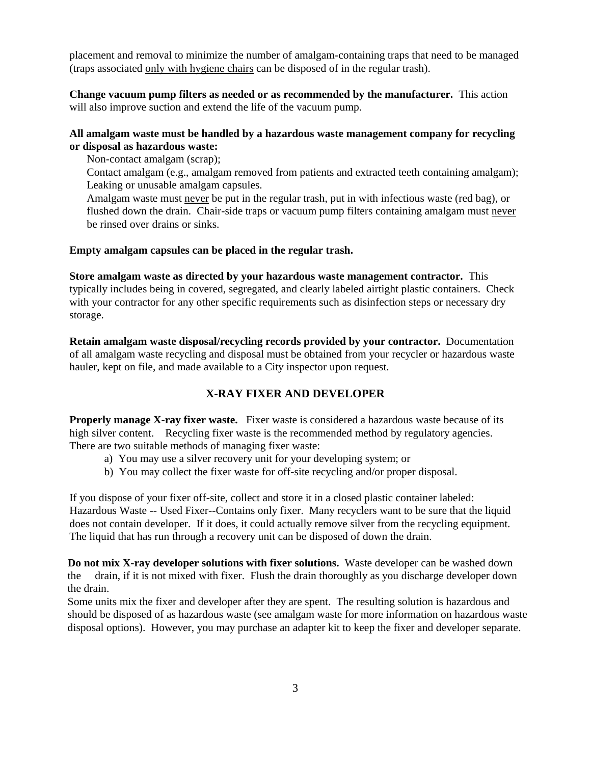placement and removal to minimize the number of amalgam-containing traps that need to be managed (traps associated only with hygiene chairs can be disposed of in the regular trash).

**Change vacuum pump filters as needed or as recommended by the manufacturer.** This action will also improve suction and extend the life of the vacuum pump.

### **All amalgam waste must be handled by a hazardous waste management company for recycling or disposal as hazardous waste:**

Non-contact amalgam (scrap);

Contact amalgam (e.g., amalgam removed from patients and extracted teeth containing amalgam); Leaking or unusable amalgam capsules.

Amalgam waste must never be put in the regular trash, put in with infectious waste (red bag), or flushed down the drain. Chair-side traps or vacuum pump filters containing amalgam must never be rinsed over drains or sinks.

#### **Empty amalgam capsules can be placed in the regular trash.**

**Store amalgam waste as directed by your hazardous waste management contractor.** This typically includes being in covered, segregated, and clearly labeled airtight plastic containers. Check with your contractor for any other specific requirements such as disinfection steps or necessary dry storage.

**Retain amalgam waste disposal/recycling records provided by your contractor.** Documentation of all amalgam waste recycling and disposal must be obtained from your recycler or hazardous waste hauler, kept on file, and made available to a City inspector upon request.

## **X-RAY FIXER AND DEVELOPER**

**Properly manage X-ray fixer waste.** Fixer waste is considered a hazardous waste because of its high silver content. Recycling fixer waste is the recommended method by regulatory agencies. There are two suitable methods of managing fixer waste:

- a) You may use a silver recovery unit for your developing system; or
- b) You may collect the fixer waste for off-site recycling and/or proper disposal.

If you dispose of your fixer off-site, collect and store it in a closed plastic container labeled: Hazardous Waste -- Used Fixer--Contains only fixer. Many recyclers want to be sure that the liquid does not contain developer. If it does, it could actually remove silver from the recycling equipment. The liquid that has run through a recovery unit can be disposed of down the drain.

**Do not mix X-ray developer solutions with fixer solutions.** Waste developer can be washed down the drain, if it is not mixed with fixer. Flush the drain thoroughly as you discharge developer down the drain.

Some units mix the fixer and developer after they are spent. The resulting solution is hazardous and should be disposed of as hazardous waste (see amalgam waste for more information on hazardous waste disposal options). However, you may purchase an adapter kit to keep the fixer and developer separate.